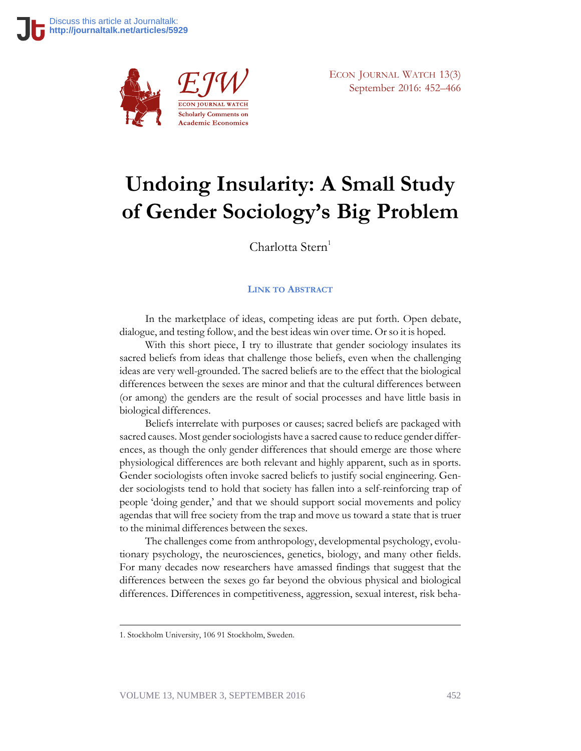

ECON JOURNAL WATCH 13(3) September 2016: 452–466

# **Undoing Insularity: A Small Study of Gender Sociology's Big Problem**

Charlotta Stern<sup>1</sup>

#### **LINK TO A[BSTRACT](https://econjwatch.org/1044)**

In the marketplace of ideas, competing ideas are put forth. Open debate, dialogue, and testing follow, and the best ideas win over time. Or so it is hoped.

With this short piece, I try to illustrate that gender sociology insulates its sacred beliefs from ideas that challenge those beliefs, even when the challenging ideas are very well-grounded. The sacred beliefs are to the effect that the biological differences between the sexes are minor and that the cultural differences between (or among) the genders are the result of social processes and have little basis in biological differences.

Beliefs interrelate with purposes or causes; sacred beliefs are packaged with sacred causes. Most gender sociologists have a sacred cause to reduce gender differences, as though the only gender differences that should emerge are those where physiological differences are both relevant and highly apparent, such as in sports. Gender sociologists often invoke sacred beliefs to justify social engineering. Gender sociologists tend to hold that society has fallen into a self-reinforcing trap of people 'doing gender,' and that we should support social movements and policy agendas that will free society from the trap and move us toward a state that is truer to the minimal differences between the sexes.

The challenges come from anthropology, developmental psychology, evolutionary psychology, the neurosciences, genetics, biology, and many other fields. For many decades now researchers have amassed findings that suggest that the differences between the sexes go far beyond the obvious physical and biological differences. Differences in competitiveness, aggression, sexual interest, risk beha-

<sup>1.</sup> Stockholm University, 106 91 Stockholm, Sweden.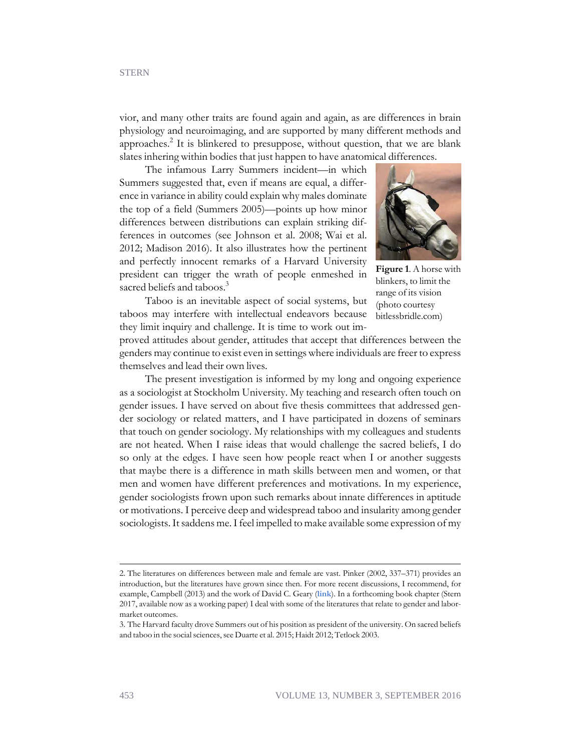vior, and many other traits are found again and again, as are differences in brain physiology and neuroimaging, and are supported by many different methods and approaches.<sup>2</sup> It is blinkered to presuppose, without question, that we are blank slates inhering within bodies that just happen to have anatomical differences.

The infamous Larry Summers incident—in which Summers suggested that, even if means are equal, a difference in variance in ability could explain why males dominate the top of a field (Summers 2005)—points up how minor differences between distributions can explain striking differences in outcomes (see Johnson et al. 2008; Wai et al. 2012; Madison 2016). It also illustrates how the pertinent and perfectly innocent remarks of a Harvard University president can trigger the wrath of people enmeshed in sacred beliefs and taboos.<sup>3</sup>



**Figure 1**. A horse with blinkers, to limit the range of its vision (photo courtesy bitlessbridle.com)

Taboo is an inevitable aspect of social systems, but taboos may interfere with intellectual endeavors because they limit inquiry and challenge. It is time to work out im-

proved attitudes about gender, attitudes that accept that differences between the genders may continue to exist even in settings where individuals are freer to express themselves and lead their own lives.

The present investigation is informed by my long and ongoing experience as a sociologist at Stockholm University. My teaching and research often touch on gender issues. I have served on about five thesis committees that addressed gender sociology or related matters, and I have participated in dozens of seminars that touch on gender sociology. My relationships with my colleagues and students are not heated. When I raise ideas that would challenge the sacred beliefs, I do so only at the edges. I have seen how people react when I or another suggests that maybe there is a difference in math skills between men and women, or that men and women have different preferences and motivations. In my experience, gender sociologists frown upon such remarks about innate differences in aptitude or motivations. I perceive deep and widespread taboo and insularity among gender sociologists. It saddens me. I feel impelled to make available some expression of my

<sup>2.</sup> The literatures on differences between male and female are vast. Pinker (2002, 337–371) provides an introduction, but the literatures have grown since then. For more recent discussions, I recommend, for example, Campbell (2013) and the work of David C. Geary (**[link](http://faculty.missouri.edu/~gearyd/articles_sd.htm)**). In a forthcoming book chapter (Stern 2017, available now as a working paper) I deal with some of the literatures that relate to gender and labormarket outcomes.

<sup>3.</sup> The Harvard faculty drove Summers out of his position as president of the university. On sacred beliefs and taboo in the social sciences, see Duarte et al. 2015; Haidt 2012; Tetlock 2003.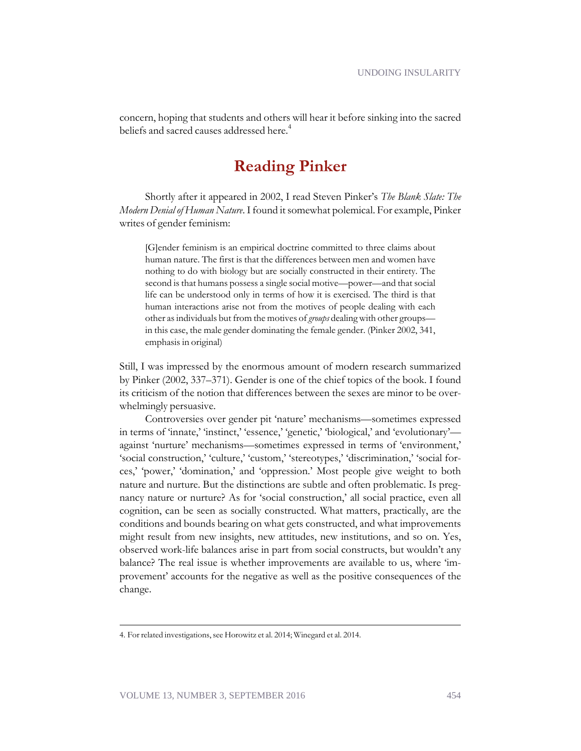concern, hoping that students and others will hear it before sinking into the sacred beliefs and sacred causes addressed here.<sup>4</sup>

## **Reading Pinker**

Shortly after it appeared in 2002, I read Steven Pinker's *The Blank Slate: The Modern Denial of Human Nature*. I found it somewhat polemical. For example, Pinker writes of gender feminism:

[G]ender feminism is an empirical doctrine committed to three claims about human nature. The first is that the differences between men and women have nothing to do with biology but are socially constructed in their entirety. The second is that humans possess a single social motive—power—and that social life can be understood only in terms of how it is exercised. The third is that human interactions arise not from the motives of people dealing with each other as individuals but from the motives of *groups* dealing with other groups in this case, the male gender dominating the female gender. (Pinker 2002, 341, emphasis in original)

Still, I was impressed by the enormous amount of modern research summarized by Pinker (2002, 337–371). Gender is one of the chief topics of the book. I found its criticism of the notion that differences between the sexes are minor to be overwhelmingly persuasive.

Controversies over gender pit 'nature' mechanisms—sometimes expressed in terms of 'innate,' 'instinct,' 'essence,' 'genetic,' 'biological,' and 'evolutionary' against 'nurture' mechanisms—sometimes expressed in terms of 'environment,' 'social construction,' 'culture,' 'custom,' 'stereotypes,' 'discrimination,' 'social forces,' 'power,' 'domination,' and 'oppression.' Most people give weight to both nature and nurture. But the distinctions are subtle and often problematic. Is pregnancy nature or nurture? As for 'social construction,' all social practice, even all cognition, can be seen as socially constructed. What matters, practically, are the conditions and bounds bearing on what gets constructed, and what improvements might result from new insights, new attitudes, new institutions, and so on. Yes, observed work-life balances arise in part from social constructs, but wouldn't any balance? The real issue is whether improvements are available to us, where 'improvement' accounts for the negative as well as the positive consequences of the change.

<sup>4.</sup> For related investigations, see Horowitz et al. 2014; Winegard et al. 2014.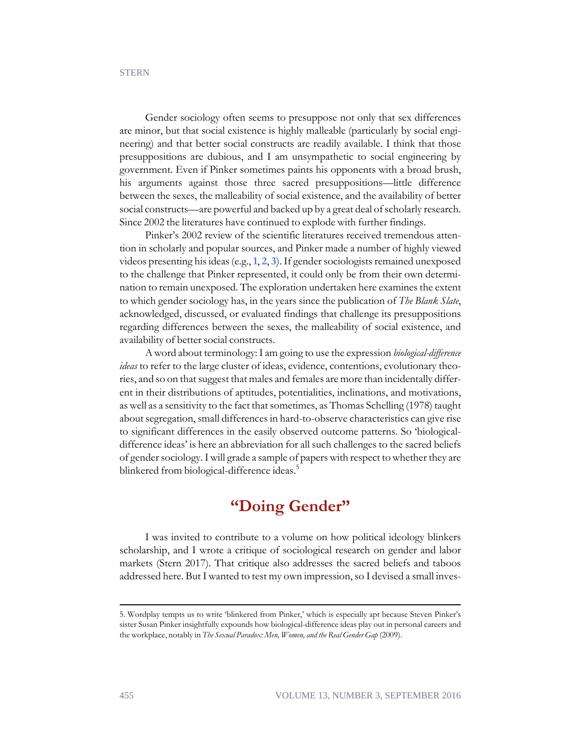Gender sociology often seems to presuppose not only that sex differences are minor, but that social existence is highly malleable (particularly by social engineering) and that better social constructs are readily available. I think that those presuppositions are dubious, and I am unsympathetic to social engineering by government. Even if Pinker sometimes paints his opponents with a broad brush, his arguments against those three sacred presuppositions—little difference between the sexes, the malleability of social existence, and the availability of better social constructs—are powerful and backed up by a great deal of scholarly research. Since 2002 the literatures have continued to explode with further findings.

Pinker's 2002 review of the scientific literatures received tremendous attention in scholarly and popular sources, and Pinker made a number of highly viewed videos presenting his ideas (e.g.,**[1](https://www.youtube.com/watch?v=CuQHSKLXu2c&list=PLQGRNluJORXZWLAes1xP46xFmy8PnQ0AA)**, **[2](https://www.youtube.com/watch?v=PJPZK6Fl6-8)**, **[3](https://www.youtube.com/watch?v=9bTKRkmwtGY)**). If gender sociologists remained unexposed to the challenge that Pinker represented, it could only be from their own determination to remain unexposed. The exploration undertaken here examines the extent to which gender sociology has, in the years since the publication of *The Blank Slate*, acknowledged, discussed, or evaluated findings that challenge its presuppositions regarding differences between the sexes, the malleability of social existence, and availability of better social constructs.

A word about terminology: I am going to use the expression *biological-difference ideas* to refer to the large cluster of ideas, evidence, contentions, evolutionary theories, and so on that suggest that males and females are more than incidentally different in their distributions of aptitudes, potentialities, inclinations, and motivations, as well as a sensitivity to the fact that sometimes, as Thomas Schelling (1978) taught about segregation, small differences in hard-to-observe characteristics can give rise to significant differences in the easily observed outcome patterns. So 'biologicaldifference ideas' is here an abbreviation for all such challenges to the sacred beliefs of gender sociology. I will grade a sample of papers with respect to whether they are blinkered from biological-difference ideas.<sup>5</sup>

## **"Doing Gender"**

I was invited to contribute to a volume on how political ideology blinkers scholarship, and I wrote a critique of sociological research on gender and labor markets (Stern 2017). That critique also addresses the sacred beliefs and taboos addressed here. But I wanted to test my own impression, so I devised a small inves-

<sup>5.</sup> Wordplay tempts us to write 'blinkered from Pinker,' which is especially apt because Steven Pinker's sister Susan Pinker insightfully expounds how biological-difference ideas play out in personal careers and the workplace, notably in *The Sexual Paradox: Men, Women, and the Real Gender Gap* (2009).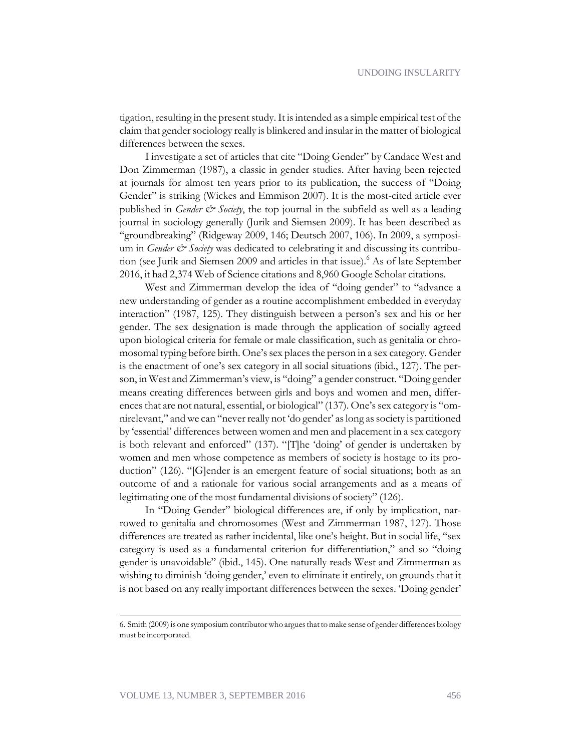tigation, resulting in the present study. It is intended as a simple empirical test of the claim that gender sociology really is blinkered and insular in the matter of biological differences between the sexes.

I investigate a set of articles that cite "Doing Gender" by Candace West and Don Zimmerman (1987), a classic in gender studies. After having been rejected at journals for almost ten years prior to its publication, the success of "Doing Gender" is striking (Wickes and Emmison 2007). It is the most-cited article ever published in *Gender & Society*, the top journal in the subfield as well as a leading journal in sociology generally (Jurik and Siemsen 2009). It has been described as "groundbreaking" (Ridgeway 2009, 146; Deutsch 2007, 106). In 2009, a symposium in *Gender & Society* was dedicated to celebrating it and discussing its contribution (see Jurik and Siemsen 2009 and articles in that issue).<sup>6</sup> As of late September 2016, it had 2,374 Web of Science citations and 8,960 Google Scholar citations.

West and Zimmerman develop the idea of "doing gender" to "advance a new understanding of gender as a routine accomplishment embedded in everyday interaction" (1987, 125). They distinguish between a person's sex and his or her gender. The sex designation is made through the application of socially agreed upon biological criteria for female or male classification, such as genitalia or chromosomal typing before birth. One's sex places the person in a sex category. Gender is the enactment of one's sex category in all social situations (ibid., 127). The person, in West and Zimmerman's view, is "doing" a gender construct. "Doing gender means creating differences between girls and boys and women and men, differences that are not natural, essential, or biological" (137). One's sex category is "omnirelevant," and we can "never really not 'do gender' as long as society is partitioned by 'essential' differences between women and men and placement in a sex category is both relevant and enforced" (137). "[T]he 'doing' of gender is undertaken by women and men whose competence as members of society is hostage to its production" (126). "[G]ender is an emergent feature of social situations; both as an outcome of and a rationale for various social arrangements and as a means of legitimating one of the most fundamental divisions of society" (126).

In "Doing Gender" biological differences are, if only by implication, narrowed to genitalia and chromosomes (West and Zimmerman 1987, 127). Those differences are treated as rather incidental, like one's height. But in social life, "sex category is used as a fundamental criterion for differentiation," and so "doing gender is unavoidable" (ibid., 145). One naturally reads West and Zimmerman as wishing to diminish 'doing gender,' even to eliminate it entirely, on grounds that it is not based on any really important differences between the sexes. 'Doing gender'

<sup>6.</sup> Smith (2009) is one symposium contributor who argues that to make sense of gender differences biology must be incorporated.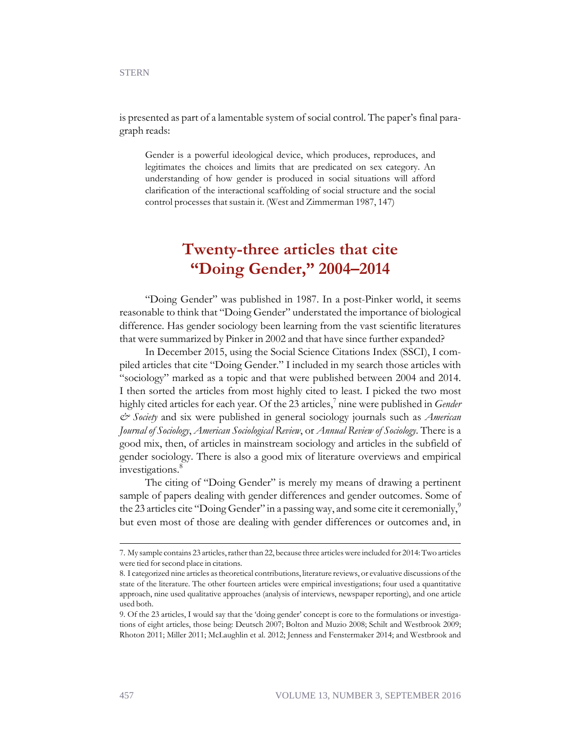is presented as part of a lamentable system of social control. The paper's final paragraph reads:

Gender is a powerful ideological device, which produces, reproduces, and legitimates the choices and limits that are predicated on sex category. An understanding of how gender is produced in social situations will afford clarification of the interactional scaffolding of social structure and the social control processes that sustain it. (West and Zimmerman 1987, 147)

### **Twenty-three articles that cite "Doing Gender," 2004–2014**

"Doing Gender" was published in 1987. In a post-Pinker world, it seems reasonable to think that "Doing Gender" understated the importance of biological difference. Has gender sociology been learning from the vast scientific literatures that were summarized by Pinker in 2002 and that have since further expanded?

In December 2015, using the Social Science Citations Index (SSCI), I compiled articles that cite "Doing Gender." I included in my search those articles with "sociology" marked as a topic and that were published between 2004 and 2014. I then sorted the articles from most highly cited to least. I picked the two most highly cited articles for each year. Of the 23 articles,<sup>7</sup> nine were published in *Gender & Society* and six were published in general sociology journals such as *American Journal of Sociology*, *American Sociological Review*, or *Annual Review of Sociology*. There is a good mix, then, of articles in mainstream sociology and articles in the subfield of gender sociology. There is also a good mix of literature overviews and empirical investigations.<sup>8</sup>

The citing of "Doing Gender" is merely my means of drawing a pertinent sample of papers dealing with gender differences and gender outcomes. Some of the 23 articles cite "Doing Gender" in a passing way, and some cite it ceremonially," but even most of those are dealing with gender differences or outcomes and, in

<sup>7.</sup> My sample contains 23 articles, rather than 22, because three articles were included for 2014: Two articles were tied for second place in citations.

<sup>8.</sup> I categorized nine articles as theoretical contributions, literature reviews, or evaluative discussions of the state of the literature. The other fourteen articles were empirical investigations; four used a quantitative approach, nine used qualitative approaches (analysis of interviews, newspaper reporting), and one article used both.

<sup>9.</sup> Of the 23 articles, I would say that the 'doing gender' concept is core to the formulations or investigations of eight articles, those being: Deutsch 2007; Bolton and Muzio 2008; Schilt and Westbrook 2009; Rhoton 2011; Miller 2011; McLaughlin et al. 2012; Jenness and Fenstermaker 2014; and Westbrook and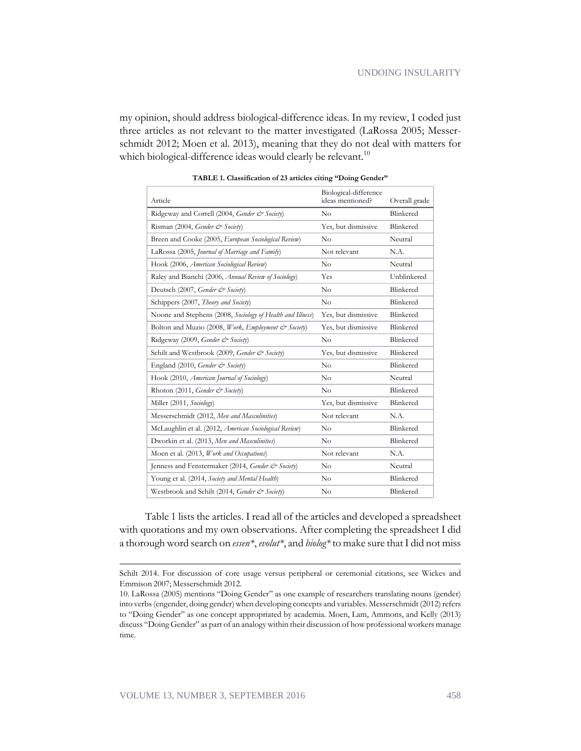my opinion, should address biological-difference ideas. In my review, I coded just three articles as not relevant to the matter investigated (LaRossa 2005; Messerschmidt 2012; Moen et al. 2013), meaning that they do not deal with matters for which biological-difference ideas would clearly be relevant.<sup>10</sup>

| Article                                                    | Biological-difference<br>ideas mentioned? | Overall grade |
|------------------------------------------------------------|-------------------------------------------|---------------|
| Ridgeway and Correll (2004, Gender & Society)              | No                                        | Blinkered     |
| Risman (2004, Gender & Society)                            | Yes, but dismissive                       | Blinkered     |
| Breen and Cooke (2005, European Sociological Review)       | No                                        | Neutral       |
| LaRossa (2005, Journal of Marriage and Family)             | Not relevant                              | N.A.          |
| Hook (2006, American Sociological Review)                  | No                                        | Neutral       |
| Raley and Bianchi (2006, Annual Review of Sociology)       | Yes                                       | Unblinkered   |
| Deutsch (2007, Gender & Society)                           | No                                        | Blinkered     |
| Schippers (2007, Theory and Society)                       | No                                        | Blinkered     |
| Noone and Stephens (2008, Sociology of Health and Illness) | Yes, but dismissive                       | Blinkered     |
| Bolton and Muzio (2008, Work, Employment & Society)        | Yes, but dismissive                       | Blinkered     |
| Ridgeway (2009, Gender & Society)                          | No                                        | Blinkered     |
| Schilt and Westbrook (2009, Gender & Society)              | Yes, but dismissive                       | Blinkered     |
| England (2010, Gender & Society)                           | No                                        | Blinkered     |
| Hook (2010, <i>American Journal of Sociology</i> )         | No                                        | Neutral       |
| Rhoton (2011, Gender & Society)                            | No                                        | Blinkered     |
| Miller (2011, Sociology)                                   | Yes, but dismissive                       | Blinkered     |
| Messerschmidt (2012, Men and Masculinities)                | Not relevant                              | N.A.          |
| McLaughlin et al. (2012, American Sociological Review)     | No                                        | Blinkered     |
| Dworkin et al. (2013, Men and Masculinities)               | No                                        | Blinkered     |
| Moen et al. (2013, Work and Occupations)                   | Not relevant                              | N.A.          |
| Jenness and Fenstermaker (2014, Gender & Society)          | No                                        | Neutral       |
| Young et al. (2014, Society and Mental Health)             | No                                        | Blinkered     |
| Westbrook and Schilt (2014, Gender & Society)              | No                                        | Blinkered     |

**TABLE 1. Classification of 23 articles citing "Doing Gender"**

Table 1 lists the articles. I read all of the articles and developed a spreadsheet with quotations and my own observations. After completing the spreadsheet I did a thorough word search on *essen\**, *evolut\**, and *biolog\** to make sure that I did not miss

Schilt 2014. For discussion of core usage versus peripheral or ceremonial citations, see Wickes and Emmison 2007; Messerschmidt 2012.

<sup>10.</sup> LaRossa (2005) mentions "Doing Gender" as one example of researchers translating nouns (gender) into verbs (engender, doing gender) when developing concepts and variables. Messerschmidt (2012) refers to "Doing Gender" as one concept appropriated by academia. Moen, Lam, Ammons, and Kelly (2013) discuss "Doing Gender" as part of an analogy within their discussion of how professional workers manage time.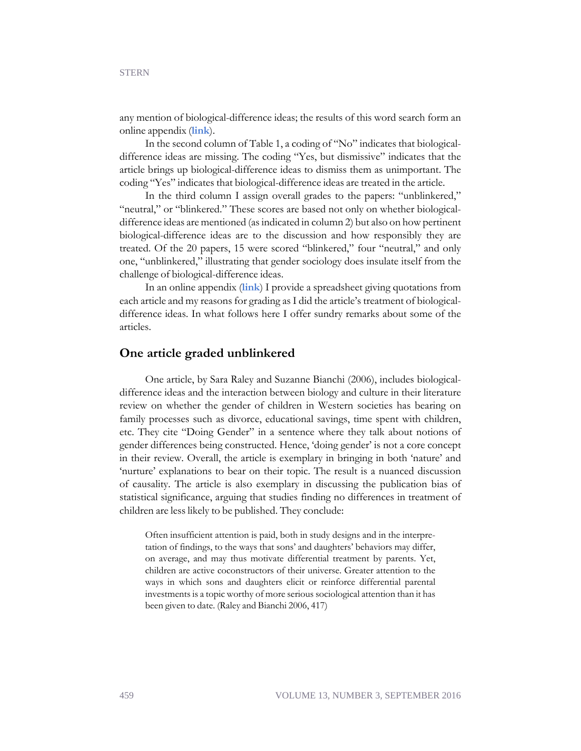any mention of biological-difference ideas; the results of this word search form an online appendix (**[link](https://econjwatch.org/file_download/938/SternSept2016Appendix3.docx)**).

In the second column of Table 1, a coding of "No" indicates that biologicaldifference ideas are missing. The coding "Yes, but dismissive" indicates that the article brings up biological-difference ideas to dismiss them as unimportant. The coding "Yes" indicates that biological-difference ideas are treated in the article.

In the third column I assign overall grades to the papers: "unblinkered," "neutral," or "blinkered." These scores are based not only on whether biologicaldifference ideas are mentioned (as indicated in column 2) but also on how pertinent biological-difference ideas are to the discussion and how responsibly they are treated. Of the 20 papers, 15 were scored "blinkered," four "neutral," and only one, "unblinkered," illustrating that gender sociology does insulate itself from the challenge of biological-difference ideas.

In an online appendix (**[link](https://econjwatch.org/file_download/937/SternSept2016Appendix2.docx)**) I provide a spreadsheet giving quotations from each article and my reasons for grading as I did the article's treatment of biologicaldifference ideas. In what follows here I offer sundry remarks about some of the articles.

#### **One article graded unblinkered**

One article, by Sara Raley and Suzanne Bianchi (2006), includes biologicaldifference ideas and the interaction between biology and culture in their literature review on whether the gender of children in Western societies has bearing on family processes such as divorce, educational savings, time spent with children, etc. They cite "Doing Gender" in a sentence where they talk about notions of gender differences being constructed. Hence, 'doing gender' is not a core concept in their review. Overall, the article is exemplary in bringing in both 'nature' and 'nurture' explanations to bear on their topic. The result is a nuanced discussion of causality. The article is also exemplary in discussing the publication bias of statistical significance, arguing that studies finding no differences in treatment of children are less likely to be published. They conclude:

Often insufficient attention is paid, both in study designs and in the interpretation of findings, to the ways that sons' and daughters' behaviors may differ, on average, and may thus motivate differential treatment by parents. Yet, children are active coconstructors of their universe. Greater attention to the ways in which sons and daughters elicit or reinforce differential parental investments is a topic worthy of more serious sociological attention than it has been given to date. (Raley and Bianchi 2006, 417)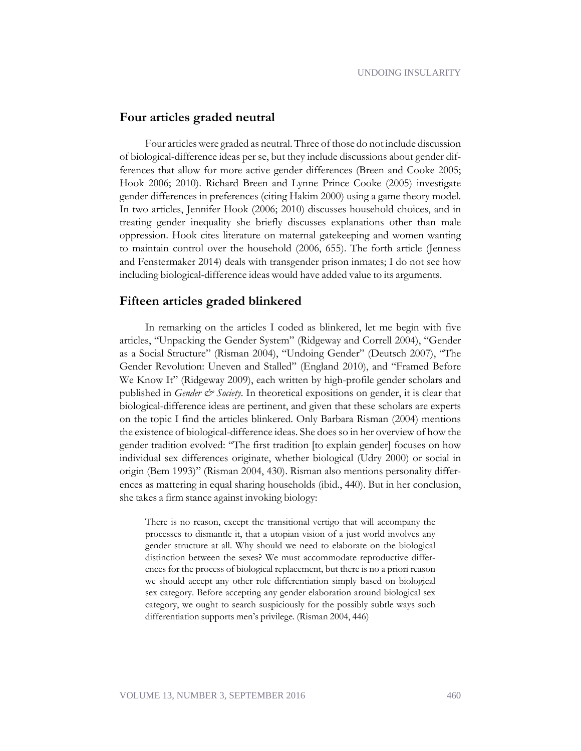#### **Four articles graded neutral**

Four articles were graded as neutral. Three of those do not include discussion of biological-difference ideas per se, but they include discussions about gender differences that allow for more active gender differences (Breen and Cooke 2005; Hook 2006; 2010). Richard Breen and Lynne Prince Cooke (2005) investigate gender differences in preferences (citing Hakim 2000) using a game theory model. In two articles, Jennifer Hook (2006; 2010) discusses household choices, and in treating gender inequality she briefly discusses explanations other than male oppression. Hook cites literature on maternal gatekeeping and women wanting to maintain control over the household (2006, 655). The forth article (Jenness and Fenstermaker 2014) deals with transgender prison inmates; I do not see how including biological-difference ideas would have added value to its arguments.

#### **Fifteen articles graded blinkered**

In remarking on the articles I coded as blinkered, let me begin with five articles, "Unpacking the Gender System" (Ridgeway and Correll 2004), "Gender as a Social Structure" (Risman 2004), "Undoing Gender" (Deutsch 2007), "The Gender Revolution: Uneven and Stalled" (England 2010), and "Framed Before We Know It" (Ridgeway 2009), each written by high-profile gender scholars and published in *Gender & Society*. In theoretical expositions on gender, it is clear that biological-difference ideas are pertinent, and given that these scholars are experts on the topic I find the articles blinkered. Only Barbara Risman (2004) mentions the existence of biological-difference ideas. She does so in her overview of how the gender tradition evolved: "The first tradition [to explain gender] focuses on how individual sex differences originate, whether biological (Udry 2000) or social in origin (Bem 1993)" (Risman 2004, 430). Risman also mentions personality differences as mattering in equal sharing households (ibid., 440). But in her conclusion, she takes a firm stance against invoking biology:

There is no reason, except the transitional vertigo that will accompany the processes to dismantle it, that a utopian vision of a just world involves any gender structure at all. Why should we need to elaborate on the biological distinction between the sexes? We must accommodate reproductive differences for the process of biological replacement, but there is no a priori reason we should accept any other role differentiation simply based on biological sex category. Before accepting any gender elaboration around biological sex category, we ought to search suspiciously for the possibly subtle ways such differentiation supports men's privilege. (Risman 2004, 446)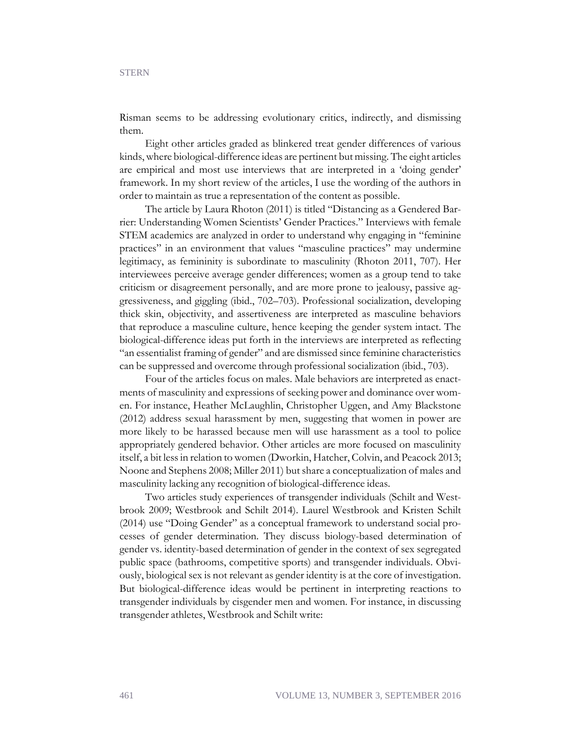Risman seems to be addressing evolutionary critics, indirectly, and dismissing them.

Eight other articles graded as blinkered treat gender differences of various kinds, where biological-difference ideas are pertinent but missing. The eight articles are empirical and most use interviews that are interpreted in a 'doing gender' framework. In my short review of the articles, I use the wording of the authors in order to maintain as true a representation of the content as possible.

The article by Laura Rhoton (2011) is titled "Distancing as a Gendered Barrier: Understanding Women Scientists' Gender Practices." Interviews with female STEM academics are analyzed in order to understand why engaging in "feminine practices" in an environment that values "masculine practices" may undermine legitimacy, as femininity is subordinate to masculinity (Rhoton 2011, 707). Her interviewees perceive average gender differences; women as a group tend to take criticism or disagreement personally, and are more prone to jealousy, passive aggressiveness, and giggling (ibid., 702–703). Professional socialization, developing thick skin, objectivity, and assertiveness are interpreted as masculine behaviors that reproduce a masculine culture, hence keeping the gender system intact. The biological-difference ideas put forth in the interviews are interpreted as reflecting "an essentialist framing of gender" and are dismissed since feminine characteristics can be suppressed and overcome through professional socialization (ibid., 703).

Four of the articles focus on males. Male behaviors are interpreted as enactments of masculinity and expressions of seeking power and dominance over women. For instance, Heather McLaughlin, Christopher Uggen, and Amy Blackstone (2012) address sexual harassment by men, suggesting that women in power are more likely to be harassed because men will use harassment as a tool to police appropriately gendered behavior. Other articles are more focused on masculinity itself, a bit less in relation to women (Dworkin, Hatcher, Colvin, and Peacock 2013; Noone and Stephens 2008; Miller 2011) but share a conceptualization of males and masculinity lacking any recognition of biological-difference ideas.

Two articles study experiences of transgender individuals (Schilt and Westbrook 2009; Westbrook and Schilt 2014). Laurel Westbrook and Kristen Schilt (2014) use "Doing Gender" as a conceptual framework to understand social processes of gender determination. They discuss biology-based determination of gender vs. identity-based determination of gender in the context of sex segregated public space (bathrooms, competitive sports) and transgender individuals. Obviously, biological sex is not relevant as gender identity is at the core of investigation. But biological-difference ideas would be pertinent in interpreting reactions to transgender individuals by cisgender men and women. For instance, in discussing transgender athletes, Westbrook and Schilt write: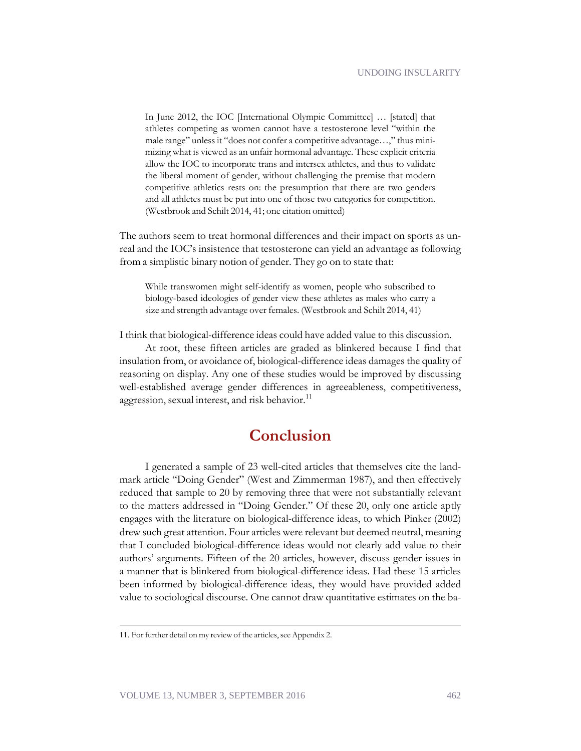In June 2012, the IOC [International Olympic Committee] … [stated] that athletes competing as women cannot have a testosterone level "within the male range" unless it "does not confer a competitive advantage…," thus minimizing what is viewed as an unfair hormonal advantage. These explicit criteria allow the IOC to incorporate trans and intersex athletes, and thus to validate the liberal moment of gender, without challenging the premise that modern competitive athletics rests on: the presumption that there are two genders and all athletes must be put into one of those two categories for competition. (Westbrook and Schilt 2014, 41; one citation omitted)

The authors seem to treat hormonal differences and their impact on sports as unreal and the IOC's insistence that testosterone can yield an advantage as following from a simplistic binary notion of gender. They go on to state that:

While transwomen might self-identify as women, people who subscribed to biology-based ideologies of gender view these athletes as males who carry a size and strength advantage over females. (Westbrook and Schilt 2014, 41)

I think that biological-difference ideas could have added value to this discussion.

At root, these fifteen articles are graded as blinkered because I find that insulation from, or avoidance of, biological-difference ideas damages the quality of reasoning on display. Any one of these studies would be improved by discussing well-established average gender differences in agreeableness, competitiveness, aggression, sexual interest, and risk behavior.<sup>11</sup>

## **Conclusion**

I generated a sample of 23 well-cited articles that themselves cite the landmark article "Doing Gender" (West and Zimmerman 1987), and then effectively reduced that sample to 20 by removing three that were not substantially relevant to the matters addressed in "Doing Gender." Of these 20, only one article aptly engages with the literature on biological-difference ideas, to which Pinker (2002) drew such great attention. Four articles were relevant but deemed neutral, meaning that I concluded biological-difference ideas would not clearly add value to their authors' arguments. Fifteen of the 20 articles, however, discuss gender issues in a manner that is blinkered from biological-difference ideas. Had these 15 articles been informed by biological-difference ideas, they would have provided added value to sociological discourse. One cannot draw quantitative estimates on the ba-

<sup>11.</sup> For further detail on my review of the articles, see Appendix 2.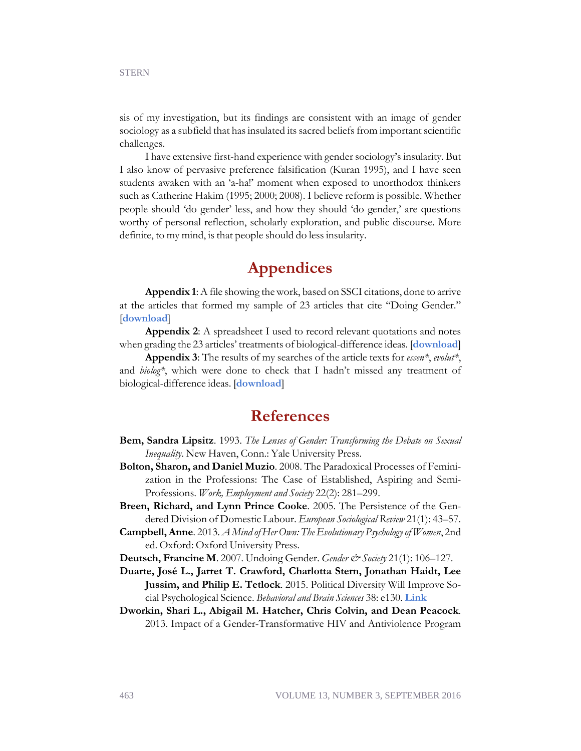sis of my investigation, but its findings are consistent with an image of gender sociology as a subfield that has insulated its sacred beliefs from important scientific challenges.

I have extensive first-hand experience with gender sociology's insularity. But I also know of pervasive preference falsification (Kuran 1995), and I have seen students awaken with an 'a-ha!' moment when exposed to unorthodox thinkers such as Catherine Hakim (1995; 2000; 2008). I believe reform is possible. Whether people should 'do gender' less, and how they should 'do gender,' are questions worthy of personal reflection, scholarly exploration, and public discourse. More definite, to my mind, is that people should do less insularity.

# **Appendices**

**Appendix 1**: A file showing the work, based on SSCI citations, done to arrive at the articles that formed my sample of 23 articles that cite "Doing Gender." [**[download](https://econjwatch.org/file_download/936/SternSept2016Appendix1.docx)**]

**Appendix 2**: A spreadsheet I used to record relevant quotations and notes when grading the 23 articles' treatments of biological-difference ideas. [**[download](https://econjwatch.org/file_download/937/SternSept2016Appendix2.docx)**]

**Appendix 3**: The results of my searches of the article texts for *essen\**, *evolut\**, and *biolog\**, which were done to check that I hadn't missed any treatment of biological-difference ideas. [**[download](https://econjwatch.org/file_download/938/SternSept2016Appendix3.docx)**]

### **References**

- **Bem, Sandra Lipsitz**. 1993. *The Lenses of Gender: Transforming the Debate on Sexual Inequality*. New Haven, Conn.: Yale University Press.
- **Bolton, Sharon, and Daniel Muzio**. 2008. The Paradoxical Processes of Feminization in the Professions: The Case of Established, Aspiring and Semi-Professions. *Work, Employment and Society* 22(2): 281–299.
- **Breen, Richard, and Lynn Prince Cooke**. 2005. The Persistence of the Gendered Division of Domestic Labour. *European Sociological Review* 21(1): 43–57.
- **Campbell, Anne**. 2013. *A Mind of Her Own: The Evolutionary Psychology of Women*, 2nd ed. Oxford: Oxford University Press.
- **Deutsch, Francine M**. 2007. Undoing Gender. *Gender & Society* 21(1): 106–127.
- **Duarte, José L., Jarret T. Crawford, Charlotta Stern, Jonathan Haidt, Lee Jussim, and Philip E. Tetlock**. 2015. Political Diversity Will Improve Social Psychological Science. *Behavioral and Brain Sciences* 38: e130. **[Link](http://journals.cambridge.org/action/displayAbstract?fromPage=online&aid=9945982&fileId=S0140525X14000430)**
- **Dworkin, Shari L., Abigail M. Hatcher, Chris Colvin, and Dean Peacock**. 2013. Impact of a Gender-Transformative HIV and Antiviolence Program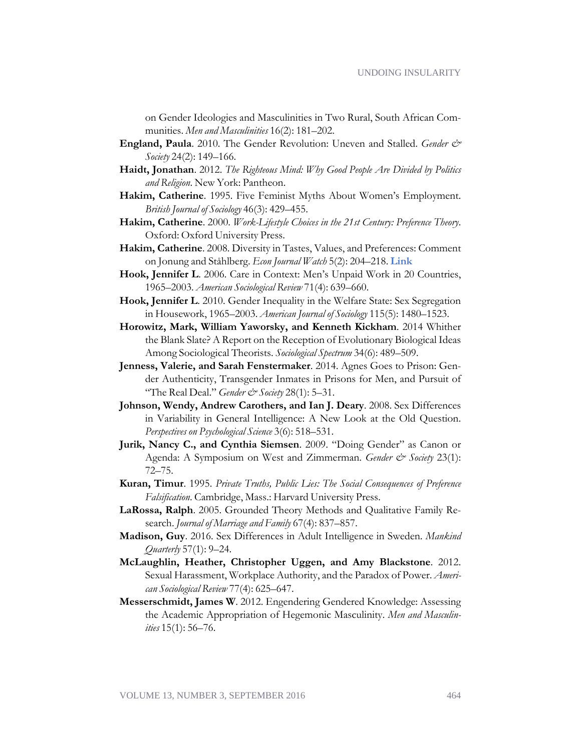on Gender Ideologies and Masculinities in Two Rural, South African Communities. *Men and Masculinities* 16(2): 181–202.

- **England, Paula**. 2010. The Gender Revolution: Uneven and Stalled. *Gender & Society* 24(2): 149–166.
- **Haidt, Jonathan**. 2012. *The Righteous Mind: Why Good People Are Divided by Politics and Religion*. New York: Pantheon.
- **Hakim, Catherine**. 1995. Five Feminist Myths About Women's Employment. *British Journal of Sociology* 46(3): 429–455.
- **Hakim, Catherine**. 2000. *Work-Lifestyle Choices in the 21st Century: Preference Theory*. Oxford: Oxford University Press.
- **Hakim, Catherine**. 2008. Diversity in Tastes, Values, and Preferences: Comment on Jonung and Ståhlberg. *Econ Journal Watch* 5(2): 204–218. **[Link](https://econjwatch.org/articles/diversity-in-tastes-values-and-preferences-comment-on-jonung-and-stahlberg)**
- **Hook, Jennifer L**. 2006. Care in Context: Men's Unpaid Work in 20 Countries, 1965–2003. *American Sociological Review* 71(4): 639–660.
- **Hook, Jennifer L**. 2010. Gender Inequality in the Welfare State: Sex Segregation in Housework, 1965–2003. *American Journal of Sociology* 115(5): 1480–1523.
- **Horowitz, Mark, William Yaworsky, and Kenneth Kickham**. 2014 Whither the Blank Slate? A Report on the Reception of Evolutionary Biological Ideas Among Sociological Theorists. *Sociological Spectrum* 34(6): 489–509.
- **Jenness, Valerie, and Sarah Fenstermaker**. 2014. Agnes Goes to Prison: Gender Authenticity, Transgender Inmates in Prisons for Men, and Pursuit of "The Real Deal." *Gender & Society* 28(1): 5–31.
- **Johnson, Wendy, Andrew Carothers, and Ian J. Deary**. 2008. Sex Differences in Variability in General Intelligence: A New Look at the Old Question. *Perspectives on Psychological Science* 3(6): 518–531.
- **Jurik, Nancy C., and Cynthia Siemsen**. 2009. "Doing Gender" as Canon or Agenda: A Symposium on West and Zimmerman. *Gender & Society* 23(1): 72–75.
- **Kuran, Timur**. 1995. *Private Truths, Public Lies: The Social Consequences of Preference Falsification*. Cambridge, Mass.: Harvard University Press.
- **LaRossa, Ralph**. 2005. Grounded Theory Methods and Qualitative Family Research. *Journal of Marriage and Family* 67(4): 837–857.
- **Madison, Guy**. 2016. Sex Differences in Adult Intelligence in Sweden. *Mankind Quarterly* 57(1): 9–24.
- **McLaughlin, Heather, Christopher Uggen, and Amy Blackstone**. 2012. Sexual Harassment, Workplace Authority, and the Paradox of Power. *American Sociological Review* 77(4): 625–647.
- **Messerschmidt, James W**. 2012. Engendering Gendered Knowledge: Assessing the Academic Appropriation of Hegemonic Masculinity. *Men and Masculinities* 15(1): 56–76.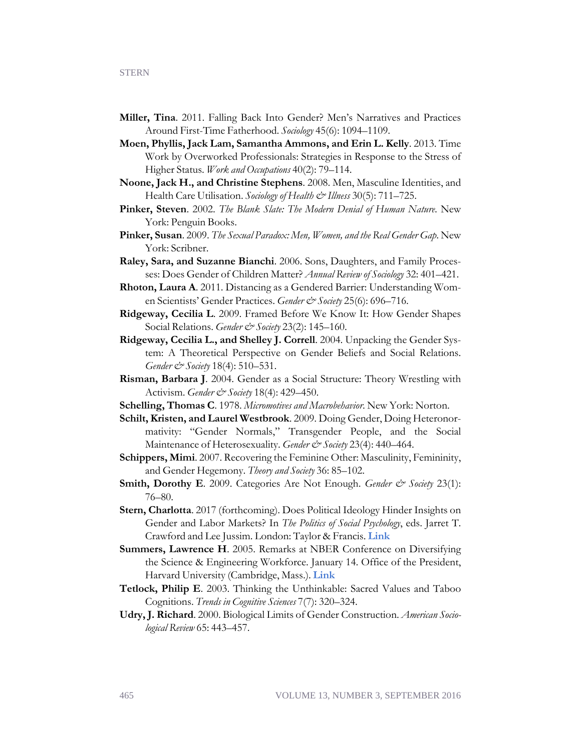- **Miller, Tina**. 2011. Falling Back Into Gender? Men's Narratives and Practices Around First-Time Fatherhood. *Sociology* 45(6): 1094–1109.
- **Moen, Phyllis, Jack Lam, Samantha Ammons, and Erin L. Kelly**. 2013. Time Work by Overworked Professionals: Strategies in Response to the Stress of Higher Status. *Work and Occupations* 40(2): 79–114.
- **Noone, Jack H., and Christine Stephens**. 2008. Men, Masculine Identities, and Health Care Utilisation. *Sociology of Health & Illness* 30(5): 711–725.
- **Pinker, Steven**. 2002. *The Blank Slate: The Modern Denial of Human Nature*. New York: Penguin Books.
- **Pinker, Susan**. 2009. *The Sexual Paradox: Men, Women, and the Real Gender Gap*. New York: Scribner.
- **Raley, Sara, and Suzanne Bianchi**. 2006. Sons, Daughters, and Family Processes: Does Gender of Children Matter? *Annual Review of Sociology* 32: 401–421.
- **Rhoton, Laura A**. 2011. Distancing as a Gendered Barrier: Understanding Women Scientists' Gender Practices. *Gender & Society* 25(6): 696-716.
- **Ridgeway, Cecilia L**. 2009. Framed Before We Know It: How Gender Shapes Social Relations. *Gender & Society* 23(2): 145–160.
- **Ridgeway, Cecilia L., and Shelley J. Correll**. 2004. Unpacking the Gender System: A Theoretical Perspective on Gender Beliefs and Social Relations. *Gender & Society* 18(4): 510–531.
- **Risman, Barbara J**. 2004. Gender as a Social Structure: Theory Wrestling with Activism. *Gender & Society* 18(4): 429–450.
- **Schelling, Thomas C**. 1978. *Micromotives and Macrobehavior*. New York: Norton.
- **Schilt, Kristen, and Laurel Westbrook**. 2009. Doing Gender, Doing Heteronormativity: "Gender Normals," Transgender People, and the Social Maintenance of Heterosexuality. *Gender & Society* 23(4): 440–464.
- **Schippers, Mimi**. 2007. Recovering the Feminine Other: Masculinity, Femininity, and Gender Hegemony. *Theory and Society* 36: 85–102.
- Smith, Dorothy E. 2009. Categories Are Not Enough. *Gender & Society* 23(1): 76–80.
- **Stern, Charlotta**. 2017 (forthcoming). Does Political Ideology Hinder Insights on Gender and Labor Markets? In *The Politics of Social Psychology*, eds. Jarret T. Crawford and Lee Jussim. London: Taylor & Francis. **[Link](http://ratio.se/publikationer/working-paper-no-275-does-political-ideology-hinder-insights-on-gender-and-labor-markets/)**
- **Summers, Lawrence H**. 2005. Remarks at NBER Conference on Diversifying the Science & Engineering Workforce. January 14. Office of the President, Harvard University (Cambridge, Mass.). **[Link](https://web.archive.org/web/20080130023006/http:/www.president.harvard.edu/speeches/2005/nber.html)**
- **Tetlock, Philip E**. 2003. Thinking the Unthinkable: Sacred Values and Taboo Cognitions. *Trends in Cognitive Sciences* 7(7): 320–324.
- **Udry, J. Richard**. 2000. Biological Limits of Gender Construction. *American Sociological Review* 65: 443–457.